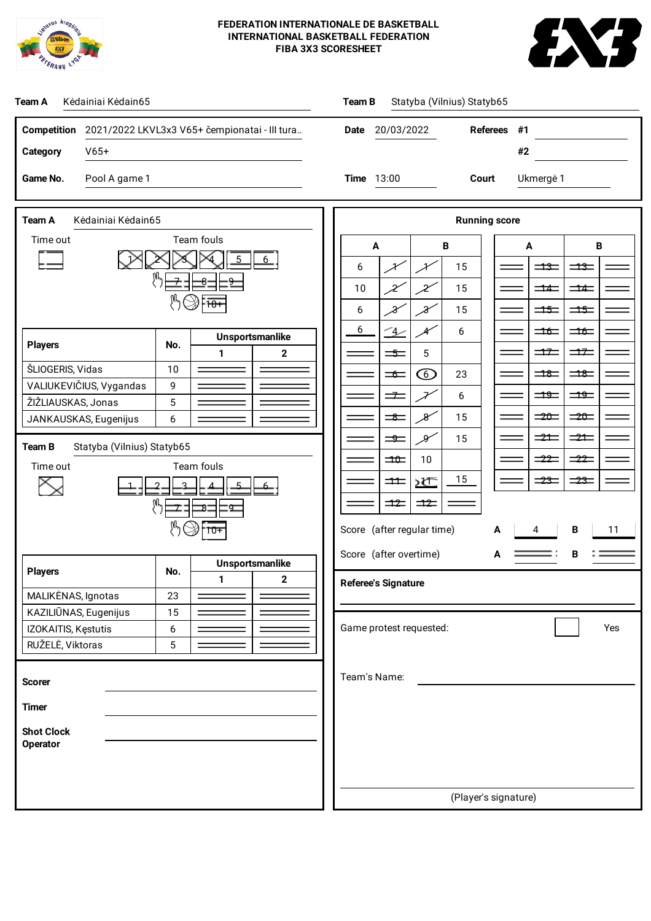



| Team A<br>Kėdainiai Kėdain65                                                                                                                                                                                                        | Statyba (Vilnius) Statyb65<br>Team B                                                                                                                                                                                                                                                                                                                                                                                                                                               |  |  |  |  |  |
|-------------------------------------------------------------------------------------------------------------------------------------------------------------------------------------------------------------------------------------|------------------------------------------------------------------------------------------------------------------------------------------------------------------------------------------------------------------------------------------------------------------------------------------------------------------------------------------------------------------------------------------------------------------------------------------------------------------------------------|--|--|--|--|--|
| Competition 2021/2022 LKVL3x3 V65+ čempionatai - III tura<br>$V65+$<br>Category<br>Game No.<br>Pool A game 1                                                                                                                        | <b>Referees</b><br>20/03/2022<br>Date<br>#1<br>#2<br><b>Time</b> 13:00<br>Court<br>Ukmergė 1                                                                                                                                                                                                                                                                                                                                                                                       |  |  |  |  |  |
|                                                                                                                                                                                                                                     |                                                                                                                                                                                                                                                                                                                                                                                                                                                                                    |  |  |  |  |  |
| Team A<br>Kėdainiai Kėdain65<br>Team fouls<br>Time out<br>$\overline{8}$<br>$\overline{9}$<br>⊿ ∆<br><b>Unsportsmanlike</b><br><b>Players</b><br>No.<br>$\mathbf{2}$<br>1<br>ŠLIOGERIS, Vidas<br>10<br>VALIUKEVIČIUS, Vygandas<br>9 | <b>Running score</b><br>$\, {\bf B}$<br>$\, {\bf B}$<br>A<br>A<br>$\equiv$<br>$\equiv$ $\equiv$<br>¥<br>15<br>6<br>¥<br>Ľ<br>15<br>10<br>X<br>$\equiv$ $\equiv$<br>$\equiv$ $\equiv$<br>$\mathcal{X}$<br>15<br>$\Rightarrow$<br>$\Rightarrow$<br>6<br>X<br>6<br>$\rightarrow$<br>$\Rightarrow$<br>6<br>$\Rightarrow$<br>$\Rightarrow$<br>$\Rightarrow$<br>5<br>$\equiv$<br>$\odot$<br>$\exists$<br>$\equiv$<br>23<br>$\equiv$<br>$\frac{49}{2}$<br>$\exists \frac{\theta}{2}$<br>二 |  |  |  |  |  |
| ŽIŽLIAUSKAS, Jonas<br>5<br>JANKAUSKAS, Eugenijus<br>6<br>Statyba (Vilnius) Statyb65<br>Team B<br>Team fouls<br>Time out<br>ष्ठ<br>$10+$                                                                                             | 6<br>$\Rightarrow 20 =$<br>$\Rightarrow$<br>$\equiv$<br>$\mathcal{X}$<br>15<br>$\equiv$ $\equiv$<br>$\equiv$ $\equiv$<br>X<br>15<br>$\equiv$<br>$\frac{-22}{-2}$<br>$\equiv$ 22<br>$\Rightarrow$<br>10<br>15<br>$\frac{1}{23}$<br>≼≿<br>$\equiv$ $\equiv$<br>$\pm$<br>$\equiv$<br>$\Rightarrow$<br>Score (after regular time)<br>В<br>11<br>A<br>4<br>Score (after overtime)<br>А                                                                                                  |  |  |  |  |  |
| <b>Unsportsmanlike</b><br><b>Players</b><br>No.<br>$\mathbf{2}$<br>1.<br>MALIKĖNAS, Ignotas<br>23<br>KAZILIŪNAS, Eugenijus<br>15<br>IZOKAITIS, Kęstutis<br>6<br>RUŽELĖ, Viktoras<br>5                                               | <b>Referee's Signature</b><br>Game protest requested:<br>Yes                                                                                                                                                                                                                                                                                                                                                                                                                       |  |  |  |  |  |
| <b>Scorer</b><br><b>Timer</b><br><b>Shot Clock</b><br><b>Operator</b>                                                                                                                                                               | Team's Name:<br>(Player's signature)                                                                                                                                                                                                                                                                                                                                                                                                                                               |  |  |  |  |  |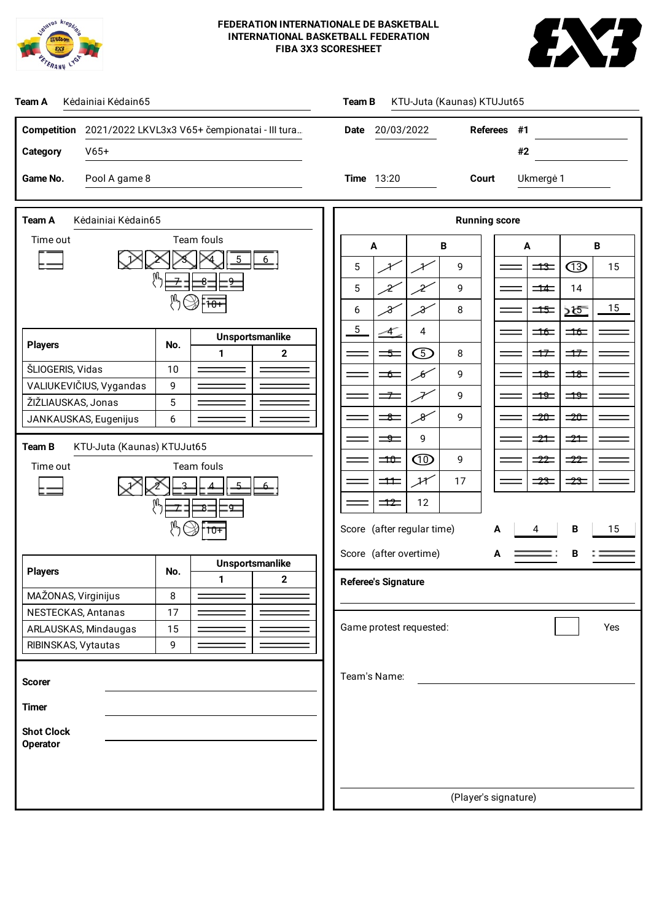



| Team A<br>Kėdainiai Kėdain65                                                                                                                                                                                                                                             | KTU-Juta (Kaunas) KTUJut65<br><b>Team B</b>                                                                                                                                                                                                                                                                                                                                                                                                                                                                                                                                                                                                                                                                                                                                                                                                                                                                                                                                                                                        |  |  |  |  |  |
|--------------------------------------------------------------------------------------------------------------------------------------------------------------------------------------------------------------------------------------------------------------------------|------------------------------------------------------------------------------------------------------------------------------------------------------------------------------------------------------------------------------------------------------------------------------------------------------------------------------------------------------------------------------------------------------------------------------------------------------------------------------------------------------------------------------------------------------------------------------------------------------------------------------------------------------------------------------------------------------------------------------------------------------------------------------------------------------------------------------------------------------------------------------------------------------------------------------------------------------------------------------------------------------------------------------------|--|--|--|--|--|
| Competition 2021/2022 LKVL3x3 V65+ čempionatai - III tura<br>$V65+$<br>Category                                                                                                                                                                                          | 20/03/2022<br><b>Referees</b><br>#1<br><b>Date</b><br>#2                                                                                                                                                                                                                                                                                                                                                                                                                                                                                                                                                                                                                                                                                                                                                                                                                                                                                                                                                                           |  |  |  |  |  |
| Pool A game 8<br>Game No.                                                                                                                                                                                                                                                | <b>Time</b> 13:20<br>Court<br>Ukmergė 1                                                                                                                                                                                                                                                                                                                                                                                                                                                                                                                                                                                                                                                                                                                                                                                                                                                                                                                                                                                            |  |  |  |  |  |
| Team A<br>Kėdainiai Kėdain65<br>Team fouls<br>Time out<br>$\overline{8}$<br>9<br><b>Unsportsmanlike</b><br><b>Players</b><br>No.<br>$\mathbf{2}$<br>1<br>ŠLIOGERIS, Vidas<br>10<br>VALIUKEVIČIUS, Vygandas<br>9<br>ŽIŽLIAUSKAS, Jonas<br>5<br>JANKAUSKAS, Eugenijus<br>6 | <b>Running score</b><br>$\, {\bf B}$<br>B<br>$\blacktriangle$<br>A<br>$\circled{1}$<br>9<br>5<br>15<br>$\Rightarrow$<br>⊁<br>5<br>9<br>Ľ<br>$\overline{\phantom{0}}$ $\overline{\phantom{0}}$ $\overline{\phantom{0}}$ $\overline{\phantom{0}}$ $\overline{\phantom{0}}$ $\overline{\phantom{0}}$ $\overline{\phantom{0}}$ $\overline{\phantom{0}}$ $\overline{\phantom{0}}$ $\overline{\phantom{0}}$ $\overline{\phantom{0}}$ $\overline{\phantom{0}}$ $\overline{\phantom{0}}$ $\overline{\phantom{0}}$ $\overline{\phantom{0}}$ $\overline{\phantom{0}}$ $\overline{\phantom{0}}$ $\overline{\phantom{0}}$ $\overline{\$<br>14<br>2<br>15<br>8<br>6<br>X<br>2<br>$\Rightarrow$<br>—≾><br>5<br>4<br>-4_<br>$\equiv$<br>$\Rightarrow$<br>$\bigcirc$<br>8<br>$\equiv$<br>$\Rightarrow$<br>$\Rightarrow$<br>$\equiv$<br>$\epsilon$<br>9<br>$\overline{\mathbf{18}}$<br>$\overline{\mathbf{18}}$<br>9<br>$\Rightarrow$<br>$\overline{\mathbf{H}}$<br>$\Rightarrow$<br>F<br>$\mathcal{B}$<br>9<br>$\Rightarrow$<br>$= 20$<br>$\equiv$ |  |  |  |  |  |
| Team B<br>KTU-Juta (Kaunas) KTUJut65<br>Team fouls<br>Time out<br>ष्ठ<br>$10+$                                                                                                                                                                                           | 9<br>$\equiv$<br>$\Rightarrow$<br>$\Rightarrow$<br>$^{\circledR}$<br>$\Rightarrow$<br>$-22$<br>$-22$<br>9<br>كهمثر<br>$\pm$<br>17<br>$-23$<br>$\frac{1}{23}$<br>12<br>$\equiv 12$<br>Score (after regular time)<br>B<br>15<br>A<br>4                                                                                                                                                                                                                                                                                                                                                                                                                                                                                                                                                                                                                                                                                                                                                                                               |  |  |  |  |  |
| <b>Unsportsmanlike</b><br><b>Players</b><br>No.<br>$\mathbf 1$<br>$\overline{2}$<br>MAŽONAS, Virginijus<br>8                                                                                                                                                             | Score (after overtime)<br>В<br>A<br><b>Referee's Signature</b>                                                                                                                                                                                                                                                                                                                                                                                                                                                                                                                                                                                                                                                                                                                                                                                                                                                                                                                                                                     |  |  |  |  |  |
| NESTECKAS, Antanas<br>17<br>ARLAUSKAS, Mindaugas<br>15<br>RIBINSKAS, Vytautas<br>9                                                                                                                                                                                       | Game protest requested:<br>Yes                                                                                                                                                                                                                                                                                                                                                                                                                                                                                                                                                                                                                                                                                                                                                                                                                                                                                                                                                                                                     |  |  |  |  |  |
| <b>Scorer</b><br><b>Timer</b><br><b>Shot Clock</b><br><b>Operator</b>                                                                                                                                                                                                    | Team's Name:                                                                                                                                                                                                                                                                                                                                                                                                                                                                                                                                                                                                                                                                                                                                                                                                                                                                                                                                                                                                                       |  |  |  |  |  |
|                                                                                                                                                                                                                                                                          | (Player's signature)                                                                                                                                                                                                                                                                                                                                                                                                                                                                                                                                                                                                                                                                                                                                                                                                                                                                                                                                                                                                               |  |  |  |  |  |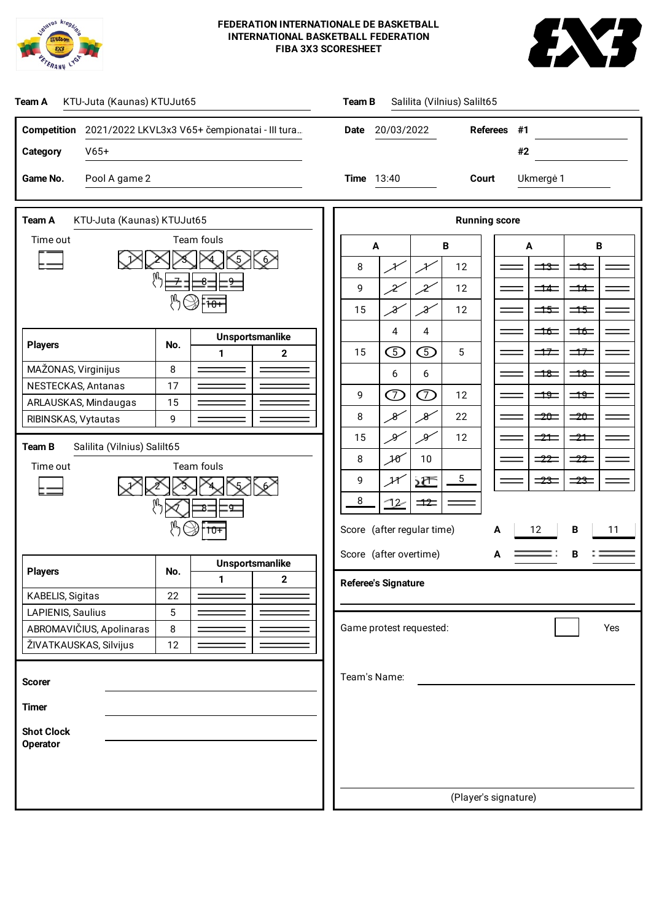



| KTU-Juta (Kaunas) KTUJut65<br>Salilita (Vilnius) Salilt65<br>Team A<br>Team B                                                                                                                                                                                                  |                                                                                                                                                                                                                                                                                                                                                                                                                                                                                                                                                                                                                                                                          |  |  |  |  |  |  |
|--------------------------------------------------------------------------------------------------------------------------------------------------------------------------------------------------------------------------------------------------------------------------------|--------------------------------------------------------------------------------------------------------------------------------------------------------------------------------------------------------------------------------------------------------------------------------------------------------------------------------------------------------------------------------------------------------------------------------------------------------------------------------------------------------------------------------------------------------------------------------------------------------------------------------------------------------------------------|--|--|--|--|--|--|
| Competition 2021/2022 LKVL3x3 V65+ čempionatai - III tura<br>$V65+$<br><b>Category</b>                                                                                                                                                                                         | 20/03/2022<br><b>Referees</b><br>#1<br>Date<br>#2                                                                                                                                                                                                                                                                                                                                                                                                                                                                                                                                                                                                                        |  |  |  |  |  |  |
| Game No.<br>Pool A game 2                                                                                                                                                                                                                                                      | <b>Time</b> 13:40<br>Court<br>Ukmergė 1                                                                                                                                                                                                                                                                                                                                                                                                                                                                                                                                                                                                                                  |  |  |  |  |  |  |
| Team A<br>KTU-Juta (Kaunas) KTUJut65                                                                                                                                                                                                                                           | <b>Running score</b>                                                                                                                                                                                                                                                                                                                                                                                                                                                                                                                                                                                                                                                     |  |  |  |  |  |  |
| Team fouls<br>Time out<br>$\overline{9}$<br>8                                                                                                                                                                                                                                  | $\, {\bf B}$<br>B<br>A<br>A<br>8<br>12<br>$\equiv$<br>$\equiv$ $\equiv$<br>$\mathcal X$<br>≯<br>9<br>2<br>$\mathcal{Z}$<br>12<br>$\overline{\phantom{1}}$ $\overline{\phantom{1}}$<br>$\equiv$ $\equiv$<br>15<br>X<br>$\mathcal{X}$<br>12<br>$\Rightarrow$<br>$\equiv$                                                                                                                                                                                                                                                                                                                                                                                                   |  |  |  |  |  |  |
| <b>Unsportsmanlike</b><br><b>Players</b><br>No.<br>$\mathbf 2$<br>1<br>MAŽONAS, Virginijus<br>$\,8\,$<br>17<br>NESTECKAS, Antanas<br>ARLAUSKAS, Mindaugas<br>15<br>9<br>RIBINSKAS, Vytautas<br>Salilita (Vilnius) Salilt65<br>Team B<br>Team fouls<br>Time out<br>ष्ठ<br>$10+$ | $\overline{4}$<br>$\overline{4}$<br>$\Rightarrow$<br>$\Rightarrow$<br>$\bigcirc$<br>$\mathbb{O}% _{N}(n)$<br>5<br>15<br>$\Rightarrow$<br>$\Rightarrow$<br>6<br>6<br>$\equiv$<br>$\equiv$<br>$\circledcirc$<br>$\oslash$<br>9<br>12<br>$\exists \frac{\theta}{2}$<br>79<br>$\mathcal{S}^{\prime}$<br>$\mathcal{X}$<br>8<br>22<br>$\Rightarrow$<br>$\Rightarrow 0$<br>کلر<br>X<br>15<br>12<br>$\Rightarrow$ $\pm$<br>$\Rightarrow$<br>10<br>8<br>10<br>$\frac{-22}{-2}$<br>$\frac{-22}{2}$<br>$5\phantom{.0}$<br>9<br>≼≿<br>$\equiv$ $\equiv$<br>$\frac{1}{23}$<br>کهمتر<br>8<br><u>72</u><br>$\overline{\phantom{1}}$<br>Score (after regular time)<br>12<br>B<br>11<br>А |  |  |  |  |  |  |
| <b>Unsportsmanlike</b><br><b>Players</b><br>No.<br>$\mathbf 2$<br>1<br>KABELIS, Sigitas<br>22<br>LAPIENIS, Saulius<br>5<br>ABROMAVIČIUS, Apolinaras<br>$\,8\,$<br>ŽIVATKAUSKAS, Silvijus<br>12                                                                                 | Score (after overtime)<br>А<br><b>Referee's Signature</b><br>Game protest requested:<br>Yes                                                                                                                                                                                                                                                                                                                                                                                                                                                                                                                                                                              |  |  |  |  |  |  |
| <b>Scorer</b><br><b>Timer</b><br><b>Shot Clock</b><br><b>Operator</b>                                                                                                                                                                                                          | Team's Name:                                                                                                                                                                                                                                                                                                                                                                                                                                                                                                                                                                                                                                                             |  |  |  |  |  |  |
|                                                                                                                                                                                                                                                                                | (Player's signature)                                                                                                                                                                                                                                                                                                                                                                                                                                                                                                                                                                                                                                                     |  |  |  |  |  |  |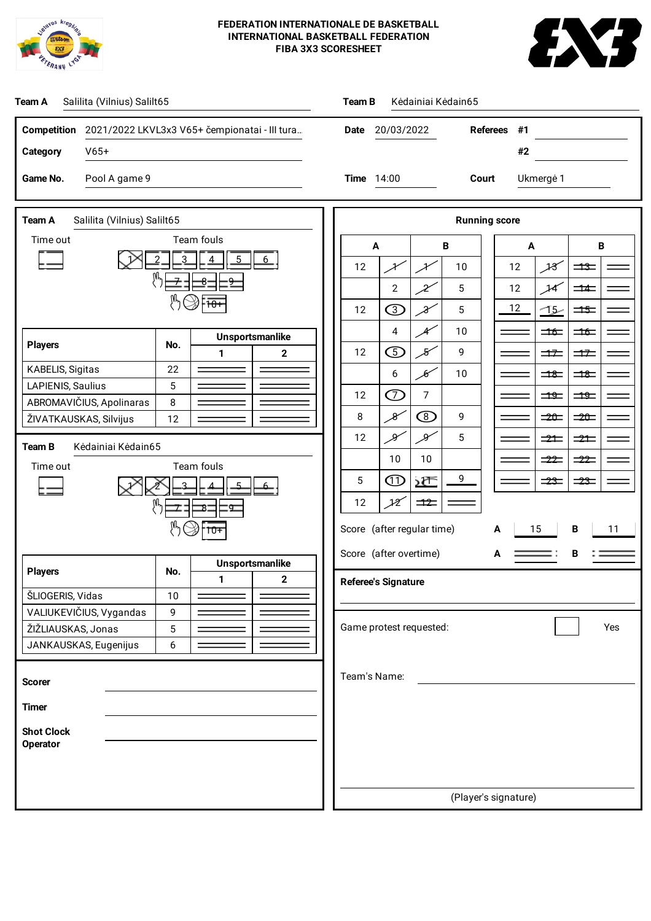



| Salilita (Vilnius) Salilt65<br>Team A                                                     | Team B<br>Kėdainiai Kėdain65                                                                                                                                              |  |  |  |  |  |
|-------------------------------------------------------------------------------------------|---------------------------------------------------------------------------------------------------------------------------------------------------------------------------|--|--|--|--|--|
| <b>Competition</b><br>2021/2022 LKVL3x3 V65+ čempionatai - III tura<br>$V65+$<br>Category | <b>Referees</b><br>20/03/2022<br>#1<br>Date<br>#2                                                                                                                         |  |  |  |  |  |
| Pool A game 9<br>Game No.                                                                 | <b>Time</b> 14:00<br>Court<br>Ukmergė 1                                                                                                                                   |  |  |  |  |  |
| Team A<br>Salilita (Vilnius) Salilt65                                                     | <b>Running score</b>                                                                                                                                                      |  |  |  |  |  |
| Team fouls<br>Time out                                                                    | $\, {\bf B}$<br>A<br>В<br>A                                                                                                                                               |  |  |  |  |  |
| ŅI,<br>$\overline{8}$<br>g                                                                | 18<br>$\equiv$<br>12<br>¥<br>10<br>12<br>¥                                                                                                                                |  |  |  |  |  |
|                                                                                           | $\overline{2}$<br>5<br>12<br>14<br>$\overline{\phantom{0}}$ $\overline{\phantom{0}}$<br>2<br>$\circledS$<br>12<br>$\mathcal{X}$<br>5<br>12<br><u>-15</u><br>$\Rightarrow$ |  |  |  |  |  |
| Unsportsmanlike                                                                           | 4<br>10<br>Æ<br>$\Rightarrow$<br>$\Rightarrow$                                                                                                                            |  |  |  |  |  |
| <b>Players</b><br>No.<br>$\mathbf 2$<br>$\mathbf{1}$                                      | $\bigcirc$<br>12<br>Я<br>9<br>$\Rightarrow$<br>$\Rightarrow$                                                                                                              |  |  |  |  |  |
| KABELIS, Sigitas<br>22<br>5<br>LAPIENIS, Saulius                                          | 6<br>$\mathscr{G}$<br>10<br>$\overline{\mathbf{18}}$<br>$\overline{\phantom{aa}}$                                                                                         |  |  |  |  |  |
| ABROMAVIČIUS, Apolinaras<br>8                                                             | $\circled{D}$<br>$\overline{7}$<br>12<br>$\frac{100}{2}$<br>$\Rightarrow$<br>$^\circledR$<br>8<br>$\mathcal{X}$<br>9<br>$= 20$<br>$\Rightarrow$                           |  |  |  |  |  |
| ŽIVATKAUSKAS, Silvijus<br>12                                                              | $\mathscr{S}$<br>X<br>5<br>12<br>$\Rightarrow$<br>$\Rightarrow$                                                                                                           |  |  |  |  |  |
| Team B<br>Kėdainiai Kėdain65<br>Team fouls<br>Time out                                    | 10<br>10<br>$-22$<br>$\frac{-22}{2}$                                                                                                                                      |  |  |  |  |  |
|                                                                                           | 9<br>$\textcircled{\scriptsize{1}}$<br>5<br>≼≿<br>$\equiv$<br>$\frac{23}{2}$                                                                                              |  |  |  |  |  |
| ष्ठ                                                                                       | 12<br>$\rightarrow$<br>12                                                                                                                                                 |  |  |  |  |  |
| $10+$                                                                                     | Score (after regular time)<br>В<br>15<br>А<br>11                                                                                                                          |  |  |  |  |  |
| <b>Unsportsmanlike</b><br><b>Players</b><br>No.                                           | Score (after overtime)<br>В<br>А                                                                                                                                          |  |  |  |  |  |
| $\mathfrak{p}$<br>1.<br>ŠLIOGERIS, Vidas<br>10                                            | <b>Referee's Signature</b>                                                                                                                                                |  |  |  |  |  |
| VALIUKEVIČIUS, Vygandas<br>9<br>ŽIŽLIAUSKAS, Jonas<br>5                                   | Game protest requested:<br>Yes                                                                                                                                            |  |  |  |  |  |
| JANKAUSKAS, Eugenijus<br>6                                                                |                                                                                                                                                                           |  |  |  |  |  |
| <b>Scorer</b>                                                                             | Team's Name:                                                                                                                                                              |  |  |  |  |  |
| <b>Timer</b>                                                                              |                                                                                                                                                                           |  |  |  |  |  |
| <b>Shot Clock</b>                                                                         |                                                                                                                                                                           |  |  |  |  |  |
| <b>Operator</b>                                                                           |                                                                                                                                                                           |  |  |  |  |  |
|                                                                                           |                                                                                                                                                                           |  |  |  |  |  |
|                                                                                           | (Player's signature)                                                                                                                                                      |  |  |  |  |  |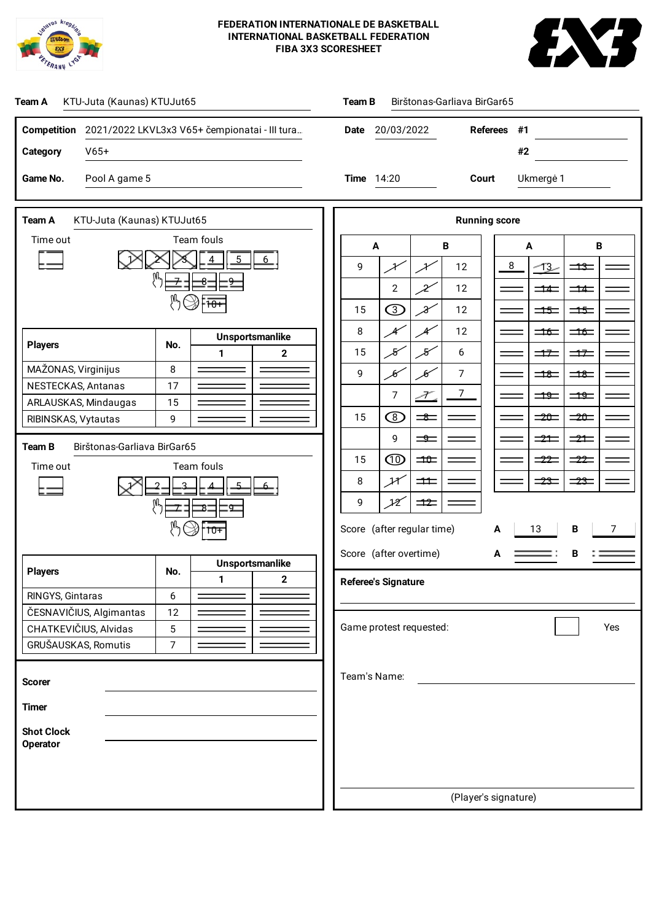



| KTU-Juta (Kaunas) KTUJut65<br>Team A                           | Birštonas-Garliava BirGar65<br>Team B                                                                                            |  |  |  |  |  |  |
|----------------------------------------------------------------|----------------------------------------------------------------------------------------------------------------------------------|--|--|--|--|--|--|
| Competition 2021/2022 LKVL3x3 V65+ čempionatai - III tura      | Referees #1<br>Date 20/03/2022                                                                                                   |  |  |  |  |  |  |
| Category<br>$V65+$                                             | #2                                                                                                                               |  |  |  |  |  |  |
| Game No.<br>Pool A game 5                                      | <b>Time</b> 14:20<br>Court<br>Ukmergė 1                                                                                          |  |  |  |  |  |  |
|                                                                |                                                                                                                                  |  |  |  |  |  |  |
| Team A<br>KTU-Juta (Kaunas) KTUJut65                           | <b>Running score</b>                                                                                                             |  |  |  |  |  |  |
| Team fouls<br>Time out                                         | $\boldsymbol{A}$<br>В<br>В<br>A                                                                                                  |  |  |  |  |  |  |
|                                                                | 8<br>9<br>12<br>سيخل<br>$\equiv$<br>イ<br>${\mathcal X}$                                                                          |  |  |  |  |  |  |
| $\overline{8}$<br>q                                            | $\overline{2}$<br>12<br>X<br>$\overline{\phantom{0}}$ $\overline{\phantom{0}}$<br>$\equiv$ $\equiv$                              |  |  |  |  |  |  |
|                                                                | 将<br>15<br>$\mathcal{X}$<br>12<br>$\Rightarrow$<br>$\Rightarrow$                                                                 |  |  |  |  |  |  |
| <b>Unsportsmanlike</b><br><b>Players</b><br>No.                | 8<br>12<br>Æ<br>Æ<br>$\equiv$<br>$\equiv$                                                                                        |  |  |  |  |  |  |
| $\mathbf{2}$<br>$\mathbf{1}$<br>MAŽONAS, Virginijus<br>$\,8\,$ | 15<br>$\mathcal{B}^{\prime}$<br>$\mathcal{S}$<br>6<br>$\Rightarrow$<br>$\Rightarrow$                                             |  |  |  |  |  |  |
| 17<br>NESTECKAS, Antanas                                       | 9<br>7<br>$\mathcal{B}$<br>$\mathcal{B}$<br>$\equiv$<br>$\equiv$                                                                 |  |  |  |  |  |  |
| ARLAUSKAS, Mindaugas<br>15                                     | 7<br>7<br>$\frac{49}{2}$<br>$\exists \frac{\theta}{2}$<br>⊅                                                                      |  |  |  |  |  |  |
| 9<br>RIBINSKAS, Vytautas                                       | $^\circledR$<br>15<br>$\Rightarrow 20 =$<br>$\equiv$<br>$\Rightarrow$<br>9<br>$\equiv$<br>$\equiv$ $\equiv$<br>$\equiv$ $\equiv$ |  |  |  |  |  |  |
| Birštonas-Garliava BirGar65<br><b>Team B</b>                   | $\circledcirc$<br>15<br>$\Rightarrow$<br>$\equiv$ 22<br>$\equiv$ 22                                                              |  |  |  |  |  |  |
| Team fouls<br>Time out                                         | ${\mathcal{H}}$<br>8<br>$\pm$<br>$\equiv 23$<br>$\equiv$ $\equiv$                                                                |  |  |  |  |  |  |
|                                                                | 9<br>$\mathcal{X}$<br>$\Rightarrow$                                                                                              |  |  |  |  |  |  |
| ष्ठ<br>$10+$                                                   | Score (after regular time)<br>B<br>13<br>A                                                                                       |  |  |  |  |  |  |
|                                                                | Score (after overtime)<br>в<br>А                                                                                                 |  |  |  |  |  |  |
| Unsportsmanlike<br><b>Players</b><br>No.                       |                                                                                                                                  |  |  |  |  |  |  |
| $\mathbf 2$<br>1<br>RINGYS, Gintaras<br>6                      | <b>Referee's Signature</b>                                                                                                       |  |  |  |  |  |  |
| ČESNAVIČIUS, Algimantas<br>12                                  |                                                                                                                                  |  |  |  |  |  |  |
| CHATKEVIČIUS, Alvidas<br>5<br>GRUŠAUSKAS, Romutis<br>7         | Game protest requested:<br>Yes                                                                                                   |  |  |  |  |  |  |
|                                                                |                                                                                                                                  |  |  |  |  |  |  |
| <b>Scorer</b>                                                  | Team's Name:                                                                                                                     |  |  |  |  |  |  |
| <b>Timer</b>                                                   |                                                                                                                                  |  |  |  |  |  |  |
| <b>Shot Clock</b>                                              |                                                                                                                                  |  |  |  |  |  |  |
| <b>Operator</b>                                                |                                                                                                                                  |  |  |  |  |  |  |
|                                                                |                                                                                                                                  |  |  |  |  |  |  |
|                                                                | (Player's signature)                                                                                                             |  |  |  |  |  |  |
|                                                                |                                                                                                                                  |  |  |  |  |  |  |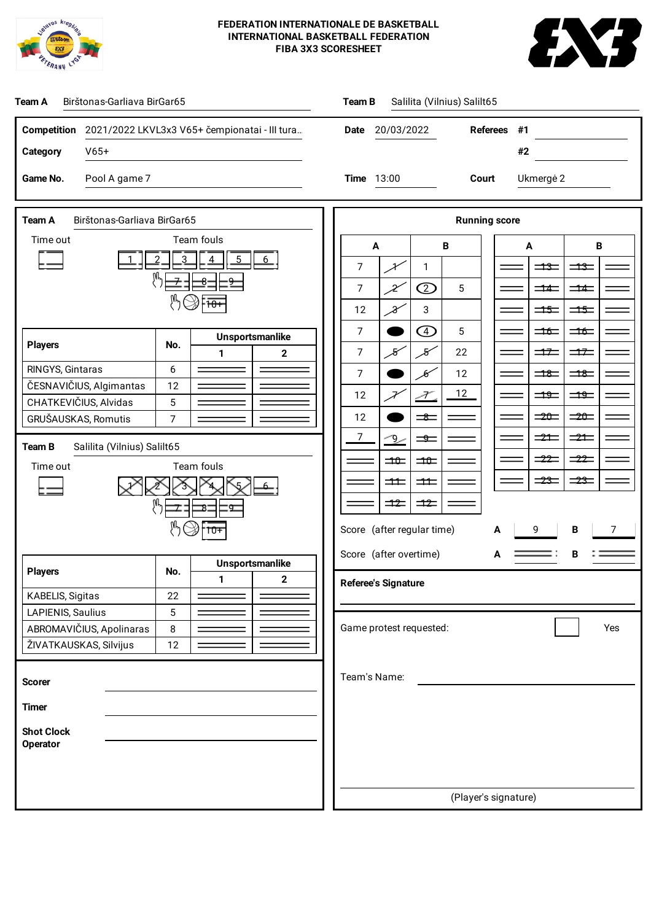



| Birštonas-Garliava BirGar65<br>Salilita (Vilnius) Salilt65<br>Team A<br><b>Team B</b> |                                                                                                                                                        |  |  |  |  |  |  |
|---------------------------------------------------------------------------------------|--------------------------------------------------------------------------------------------------------------------------------------------------------|--|--|--|--|--|--|
| Competition 2021/2022 LKVL3x3 V65+ čempionatai - III tura                             | <b>Referees</b><br>#1<br>Date 20/03/2022                                                                                                               |  |  |  |  |  |  |
| Category<br>$V65+$                                                                    | #2                                                                                                                                                     |  |  |  |  |  |  |
| Pool A game 7<br>Game No.                                                             | 13:00<br>Court<br>Ukmergė 2<br>Time                                                                                                                    |  |  |  |  |  |  |
|                                                                                       |                                                                                                                                                        |  |  |  |  |  |  |
| Team A<br>Birštonas-Garliava BirGar65                                                 | <b>Running score</b>                                                                                                                                   |  |  |  |  |  |  |
| Team fouls<br>Time out                                                                | $\, {\bf B}$<br>В<br>A<br>A                                                                                                                            |  |  |  |  |  |  |
| $\overline{8}$<br>g                                                                   | 7<br>$\mathbf{1}$<br>$\Rightarrow$<br>$\equiv$<br>¥                                                                                                    |  |  |  |  |  |  |
|                                                                                       | $^{\copyright}$<br>7<br>5<br>x<br>$\overline{\phantom{1}}$ $\overline{\phantom{1}}$<br>$\equiv$ $\equiv$                                               |  |  |  |  |  |  |
|                                                                                       | 3<br>12<br>$\mathcal{X}$<br>$\Rightarrow$<br>$\equiv$                                                                                                  |  |  |  |  |  |  |
| <b>Unsportsmanlike</b><br><b>Players</b><br>No.                                       | $\bigoplus$<br>5<br>7<br>$\Rightarrow$<br>$\Rightarrow$<br>7<br>$\mathcal{S}^{\prime}$<br>22<br>$\mathcal{F}$<br>$\Rightarrow$ $\neq$<br>$\Rightarrow$ |  |  |  |  |  |  |
| $\mathbf 2$<br>1<br>RINGYS, Gintaras<br>6                                             | 7<br>$\mathscr{G}$<br>12<br>$\equiv$<br>$\equiv$                                                                                                       |  |  |  |  |  |  |
| ČESNAVIČIUS, Algimantas<br>12                                                         | 12<br>12<br>Þ<br>$\exists \frac{\theta}{2}$<br>79                                                                                                      |  |  |  |  |  |  |
| CHATKEVIČIUS, Alvidas<br>5<br>$\overline{7}$<br>GRUŠAUSKAS, Romutis                   | $\Rightarrow$<br>$\Rightarrow 0$<br>12<br>$\equiv$                                                                                                     |  |  |  |  |  |  |
|                                                                                       | 7<br>$\Rightarrow$ $\pm$<br>$\Rightarrow$<br>$\Rightarrow$<br>ىمو                                                                                      |  |  |  |  |  |  |
| Salilita (Vilnius) Salilt65<br>Team B<br>Team fouls<br>Time out                       | $\frac{-22}{-2}$<br>$\equiv$ 22<br>$\Rightarrow$<br>$\Rightarrow$                                                                                      |  |  |  |  |  |  |
|                                                                                       | $\equiv$ $\equiv$<br>$\equiv$ $\equiv$<br>$\equiv$<br>$\equiv$                                                                                         |  |  |  |  |  |  |
| ष्ठ                                                                                   | $\Rightarrow$<br>$\equiv$                                                                                                                              |  |  |  |  |  |  |
| $10+$                                                                                 | Score (after regular time)<br>B<br>9<br>А<br>7                                                                                                         |  |  |  |  |  |  |
| <b>Unsportsmanlike</b>                                                                | Score (after overtime)<br>в<br>А                                                                                                                       |  |  |  |  |  |  |
| <b>Players</b><br>No.<br>$\mathbf 2$<br>1                                             | <b>Referee's Signature</b>                                                                                                                             |  |  |  |  |  |  |
| KABELIS, Sigitas<br>22                                                                |                                                                                                                                                        |  |  |  |  |  |  |
| LAPIENIS, Saulius<br>5<br>ABROMAVIČIUS, Apolinaras<br>$\,8\,$                         | Game protest requested:<br>Yes                                                                                                                         |  |  |  |  |  |  |
| ŽIVATKAUSKAS, Silvijus<br>12                                                          |                                                                                                                                                        |  |  |  |  |  |  |
|                                                                                       | Team's Name:                                                                                                                                           |  |  |  |  |  |  |
| <b>Scorer</b>                                                                         |                                                                                                                                                        |  |  |  |  |  |  |
| <b>Timer</b>                                                                          |                                                                                                                                                        |  |  |  |  |  |  |
| <b>Shot Clock</b><br><b>Operator</b>                                                  |                                                                                                                                                        |  |  |  |  |  |  |
|                                                                                       |                                                                                                                                                        |  |  |  |  |  |  |
|                                                                                       | (Player's signature)                                                                                                                                   |  |  |  |  |  |  |
|                                                                                       |                                                                                                                                                        |  |  |  |  |  |  |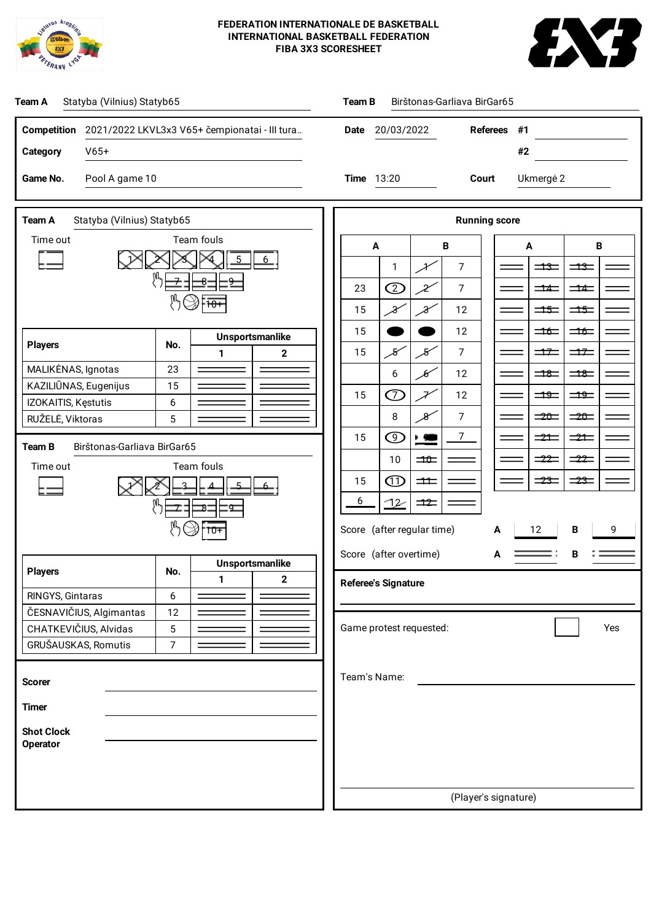



| Statyba (Vilnius) Statyb65<br>Team B<br>Birštonas-Garliava BirGar65<br>Team A |                                                                                                                                           |  |  |  |  |  |  |
|-------------------------------------------------------------------------------|-------------------------------------------------------------------------------------------------------------------------------------------|--|--|--|--|--|--|
| Competition 2021/2022 LKVL3x3 V65+ čempionatai - III tura                     | Date 20/03/2022<br>Referees #1                                                                                                            |  |  |  |  |  |  |
| <b>Category</b><br>$V65+$                                                     | #2                                                                                                                                        |  |  |  |  |  |  |
| Game No.<br>Pool A game 10                                                    | <b>Time</b> 13:20<br>Court<br>Ukmergė 2                                                                                                   |  |  |  |  |  |  |
| Team A<br>Statyba (Vilnius) Statyb65                                          | <b>Running score</b>                                                                                                                      |  |  |  |  |  |  |
| Team fouls<br>Time out                                                        | $\, {\bf B}$<br>B<br>A<br>A                                                                                                               |  |  |  |  |  |  |
|                                                                               | 7<br>$\equiv$<br>$\equiv$ $\equiv$<br>1<br>メ                                                                                              |  |  |  |  |  |  |
| $\overline{9}$<br>8                                                           | $\circledcirc$<br>$\chi$<br>7<br>23<br>$\overline{\phantom{1}}$ $\overline{\phantom{1}}$<br>$\equiv$ $\equiv$                             |  |  |  |  |  |  |
|                                                                               | X<br>12<br>$\Rightarrow$<br>15<br>X<br>$\equiv$                                                                                           |  |  |  |  |  |  |
| <b>Unsportsmanlike</b><br><b>Players</b><br>No.                               | 15<br>12<br>$\Rightarrow$<br>$\Rightarrow$                                                                                                |  |  |  |  |  |  |
| $\mathbf 2$<br>1<br>23<br>MALIKĖNAS, Ignotas                                  | $\overline{7}$<br>15<br>$\mathcal{S}$<br>$\mathcal{\mathcal{S}}$<br>$\Rightarrow$<br>$\Rightarrow$                                        |  |  |  |  |  |  |
| KAZILIŪNAS, Eugenijus<br>15                                                   | $\equiv$<br>6<br>$\mathscr{G}$<br>12<br>$\equiv$<br>$\oslash$<br>15<br>$\overline{\mathscr{X}}$<br>12<br>$\exists \frac{\theta}{2}$<br>79 |  |  |  |  |  |  |
| IZOKAITIS, Kęstutis<br>6<br>RUŽELĖ, Viktoras<br>5                             | $\,8\,$<br>$\mathcal{X}% _{M_{1},M_{2}}^{\alpha,\beta}(\varepsilon)$<br>7<br>$\Rightarrow$<br>$\Rightarrow 0$                             |  |  |  |  |  |  |
|                                                                               | $\circledcirc$<br>7<br>15<br>$\blacktriangleright$ $\triangleleft$<br>$\Rightarrow$ $\pm$<br>$\Rightarrow$                                |  |  |  |  |  |  |
| Team B<br>Birštonas-Garliava BirGar65<br>Team fouls                           | $\frac{-22}{-2}$<br>$\frac{-22}{2}$<br>10<br>$\Rightarrow$                                                                                |  |  |  |  |  |  |
| Time out                                                                      | $\textcircled{\tiny{1}}$<br>$\equiv$ $\equiv$<br>$\frac{1}{23}$<br>15<br>$\pm$                                                            |  |  |  |  |  |  |
| ष्ठ                                                                           | 6<br><u>72</u><br>$\equiv$                                                                                                                |  |  |  |  |  |  |
| $10+$                                                                         | Score (after regular time)<br>12<br>B<br>9<br>А                                                                                           |  |  |  |  |  |  |
|                                                                               | Score (after overtime)<br>А                                                                                                               |  |  |  |  |  |  |
| <b>Unsportsmanlike</b><br><b>Players</b><br>No.<br>$\mathbf 2$<br>1           | <b>Referee's Signature</b>                                                                                                                |  |  |  |  |  |  |
| RINGYS, Gintaras<br>6                                                         |                                                                                                                                           |  |  |  |  |  |  |
| ČESNAVIČIUS, Algimantas<br>12<br>CHATKEVIČIUS, Alvidas<br>5                   | Game protest requested:<br>Yes                                                                                                            |  |  |  |  |  |  |
| GRUŠAUSKAS, Romutis<br>$\overline{7}$                                         |                                                                                                                                           |  |  |  |  |  |  |
|                                                                               | Team's Name:                                                                                                                              |  |  |  |  |  |  |
| <b>Scorer</b>                                                                 |                                                                                                                                           |  |  |  |  |  |  |
| <b>Timer</b>                                                                  |                                                                                                                                           |  |  |  |  |  |  |
| <b>Shot Clock</b><br><b>Operator</b>                                          |                                                                                                                                           |  |  |  |  |  |  |
|                                                                               |                                                                                                                                           |  |  |  |  |  |  |
|                                                                               |                                                                                                                                           |  |  |  |  |  |  |
|                                                                               | (Player's signature)                                                                                                                      |  |  |  |  |  |  |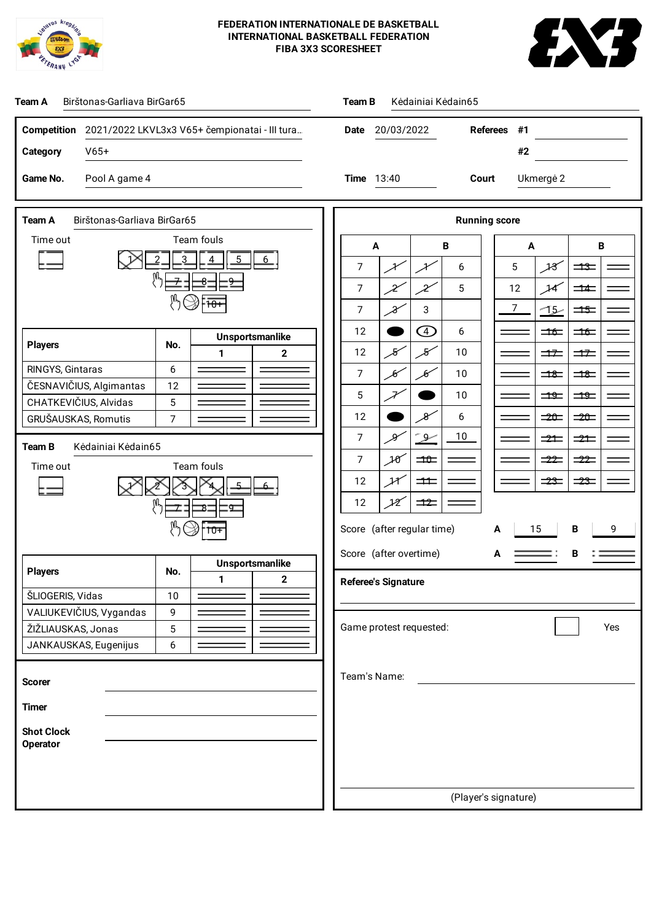



| Birštonas-Garliava BirGar65<br>Team A                               | Kėdainiai Kėdain65<br>Team B                                                                                                  |  |  |  |  |  |  |
|---------------------------------------------------------------------|-------------------------------------------------------------------------------------------------------------------------------|--|--|--|--|--|--|
| <b>Competition</b><br>2021/2022 LKVL3x3 V65+ čempionatai - III tura | <b>Referees</b><br>20/03/2022<br>#1<br>Date                                                                                   |  |  |  |  |  |  |
| $V65+$<br>Category                                                  | #2                                                                                                                            |  |  |  |  |  |  |
| Game No.<br>Pool A game 4                                           | <b>Time</b> 13:40<br>Court<br>Ukmergė 2                                                                                       |  |  |  |  |  |  |
| Team A<br>Birštonas-Garliava BirGar65                               |                                                                                                                               |  |  |  |  |  |  |
| Team fouls<br>Time out                                              | <b>Running score</b><br>A<br>B<br>A<br>В                                                                                      |  |  |  |  |  |  |
|                                                                     | 18<br>7<br>5<br>$\equiv$<br>6<br>ł<br>¥                                                                                       |  |  |  |  |  |  |
| $\overline{8}$<br>$\overline{\mathsf{q}}$                           | 7<br>5<br>12<br>$\mathcal{H}$<br>$\overline{\phantom{0}}$<br>X<br>X                                                           |  |  |  |  |  |  |
|                                                                     | $\overline{7}$<br>7<br>3<br><u>-15</u><br>$\Rightarrow$<br>8                                                                  |  |  |  |  |  |  |
| <b>Unsportsmanlike</b><br><b>Players</b><br>No.                     | $\bigcirc$<br>12<br>6<br>$\Rightarrow$<br>$\Rightarrow$                                                                       |  |  |  |  |  |  |
| $\mathbf{1}$<br>$\mathbf 2$<br>RINGYS, Gintaras<br>6                | $\mathcal{S}^{\prime}$<br>$\overline{\mathcal{S}}$<br>12<br>10<br>$\Rightarrow$<br>$\Rightarrow$<br>$\overline{7}$<br>10<br>Ю |  |  |  |  |  |  |
| ČESNAVIČIUS, Algimantas<br>12                                       | Ю<br>$\exists$<br>$\equiv$<br>5<br>10<br>$\exists \frac{\theta}{2}$<br>$\Rightarrow$                                          |  |  |  |  |  |  |
| CHATKEVIČIUS, Alvidas<br>5<br>GRUŠAUSKAS, Romutis<br>7              | 12<br>$\mathcal{S}$<br>6<br>$= 20$<br>$\Rightarrow$                                                                           |  |  |  |  |  |  |
| Team B<br>Kėdainiai Kėdain65                                        | $10$<br>7<br>کلر<br>-9.<br>$\Rightarrow$<br>$\Rightarrow$                                                                     |  |  |  |  |  |  |
| Team fouls<br>Time out                                              | $\overline{7}$<br>10<br>$\Rightarrow$<br>$-22$<br>$\frac{-22}{2}$                                                             |  |  |  |  |  |  |
|                                                                     | ${\mathcal{H}}$<br>12<br>$\frac{1}{23}$<br>$\rightarrow \rightarrow$<br>$\pm$<br>12<br>$\rightarrow$<br>12                    |  |  |  |  |  |  |
| ष्ठ                                                                 |                                                                                                                               |  |  |  |  |  |  |
|                                                                     | Score (after regular time)<br>B<br>15<br>9<br>A<br>Score (after overtime)<br>в                                                |  |  |  |  |  |  |
| Unsportsmanlike<br><b>Players</b><br>No.<br>2<br>1                  | А                                                                                                                             |  |  |  |  |  |  |
| ŠLIOGERIS, Vidas<br>10                                              | <b>Referee's Signature</b>                                                                                                    |  |  |  |  |  |  |
| VALIUKEVIČIUS, Vygandas<br>9<br>ŽIŽLIAUSKAS, Jonas<br>5             | Game protest requested:<br>Yes                                                                                                |  |  |  |  |  |  |
| JANKAUSKAS, Eugenijus<br>6                                          |                                                                                                                               |  |  |  |  |  |  |
| <b>Scorer</b>                                                       | Team's Name:                                                                                                                  |  |  |  |  |  |  |
| <b>Timer</b>                                                        |                                                                                                                               |  |  |  |  |  |  |
| <b>Shot Clock</b>                                                   |                                                                                                                               |  |  |  |  |  |  |
| <b>Operator</b>                                                     |                                                                                                                               |  |  |  |  |  |  |
|                                                                     |                                                                                                                               |  |  |  |  |  |  |
|                                                                     | (Player's signature)                                                                                                          |  |  |  |  |  |  |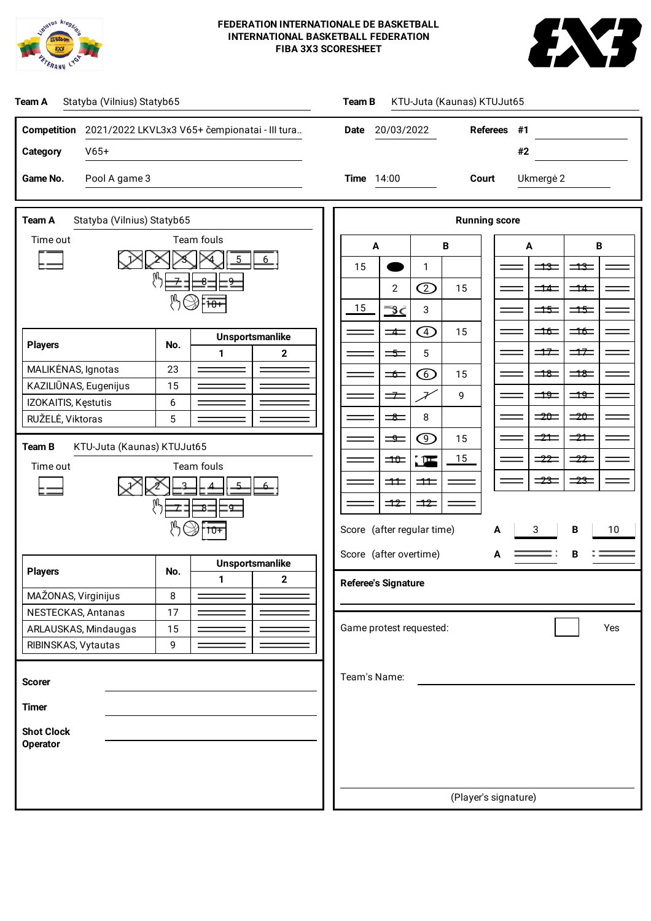



| Statyba (Vilnius) Statyb65<br>Team A                           | KTU-Juta (Kaunas) KTUJut65<br>Team B                                                                                                                                                                                                                                                                                                                                                                                                                                                                                                                                           |  |  |  |  |  |  |
|----------------------------------------------------------------|--------------------------------------------------------------------------------------------------------------------------------------------------------------------------------------------------------------------------------------------------------------------------------------------------------------------------------------------------------------------------------------------------------------------------------------------------------------------------------------------------------------------------------------------------------------------------------|--|--|--|--|--|--|
| Competition 2021/2022 LKVL3x3 V65+ čempionatai - III tura      | Date 20/03/2022<br>#1<br><b>Referees</b>                                                                                                                                                                                                                                                                                                                                                                                                                                                                                                                                       |  |  |  |  |  |  |
| $V65+$<br>Category                                             | #2                                                                                                                                                                                                                                                                                                                                                                                                                                                                                                                                                                             |  |  |  |  |  |  |
| Pool A game 3<br>Game No.                                      | 14:00<br>Ukmergė 2<br><b>Time</b><br>Court                                                                                                                                                                                                                                                                                                                                                                                                                                                                                                                                     |  |  |  |  |  |  |
|                                                                |                                                                                                                                                                                                                                                                                                                                                                                                                                                                                                                                                                                |  |  |  |  |  |  |
| Team A<br>Statyba (Vilnius) Statyb65<br>Team fouls<br>Time out | <b>Running score</b>                                                                                                                                                                                                                                                                                                                                                                                                                                                                                                                                                           |  |  |  |  |  |  |
|                                                                | $\, {\bf B}$<br>$\, {\bf B}$<br>A<br>A<br>15<br>$\mathbf{1}$<br>$\Rightarrow$<br>$\equiv$                                                                                                                                                                                                                                                                                                                                                                                                                                                                                      |  |  |  |  |  |  |
| $\overline{8}$<br>g                                            | $\circledcirc$<br>$\overline{2}$<br>15<br>$\overline{\phantom{1}}$ $\overline{\phantom{1}}$<br>$\overline{\phantom{0}}$ $\overline{\phantom{0}}$ $\overline{\phantom{0}}$ $\overline{\phantom{0}}$ $\overline{\phantom{0}}$ $\overline{\phantom{0}}$ $\overline{\phantom{0}}$ $\overline{\phantom{0}}$ $\overline{\phantom{0}}$ $\overline{\phantom{0}}$ $\overline{\phantom{0}}$ $\overline{\phantom{0}}$ $\overline{\phantom{0}}$ $\overline{\phantom{0}}$ $\overline{\phantom{0}}$ $\overline{\phantom{0}}$ $\overline{\phantom{0}}$ $\overline{\phantom{0}}$ $\overline{\$ |  |  |  |  |  |  |
|                                                                | 15<br>3<br>⋇<br>$\Rightarrow$<br>$\Rightarrow$                                                                                                                                                                                                                                                                                                                                                                                                                                                                                                                                 |  |  |  |  |  |  |
| <b>Unsportsmanlike</b>                                         | $\bigoplus$<br>$\equiv$<br>$\Rightarrow$<br>15<br>$\equiv$                                                                                                                                                                                                                                                                                                                                                                                                                                                                                                                     |  |  |  |  |  |  |
| <b>Players</b><br>No.<br>$\mathbf{2}$<br>1                     | $5\phantom{.0}$<br>$\Rightarrow$<br>$\Rightarrow$<br>$\Rightarrow$                                                                                                                                                                                                                                                                                                                                                                                                                                                                                                             |  |  |  |  |  |  |
| 23<br>MALIKĖNAS, Ignotas<br>KAZILIŪNAS, Eugenijus<br>15        | $\equiv$<br>$\circledcirc$<br>$\equiv$<br>15<br>$\equiv$                                                                                                                                                                                                                                                                                                                                                                                                                                                                                                                       |  |  |  |  |  |  |
| IZOKAITIS, Kęstutis<br>6                                       | $\Rightarrow$<br>$\Rightarrow$<br>$\Rightarrow$<br>$\overline{\mathcal{X}}$<br>9<br>$\equiv 20$<br>$\Rightarrow$                                                                                                                                                                                                                                                                                                                                                                                                                                                               |  |  |  |  |  |  |
| RUŽELĖ, Viktoras<br>5                                          | $\,8\,$<br>$\equiv$<br>$\circledcirc$<br>$\Rightarrow$<br>$\Rightarrow$<br>15<br>$\Rightarrow$                                                                                                                                                                                                                                                                                                                                                                                                                                                                                 |  |  |  |  |  |  |
| KTU-Juta (Kaunas) KTUJut65<br>Team B                           | 15<br>$-22$<br>$\equiv$ 22<br>$\pm 0$<br>$\Rightarrow$                                                                                                                                                                                                                                                                                                                                                                                                                                                                                                                         |  |  |  |  |  |  |
| Team fouls<br>Time out                                         | $\frac{1}{23}$<br>$\frac{1}{23}$<br>$\equiv$<br>$\pm$                                                                                                                                                                                                                                                                                                                                                                                                                                                                                                                          |  |  |  |  |  |  |
| ष्ठ                                                            | $\rightarrow$<br>$\equiv$                                                                                                                                                                                                                                                                                                                                                                                                                                                                                                                                                      |  |  |  |  |  |  |
| $10+$                                                          | Score (after regular time)<br>3<br>В<br>10<br>А                                                                                                                                                                                                                                                                                                                                                                                                                                                                                                                                |  |  |  |  |  |  |
| <b>Unsportsmanlike</b>                                         | Score (after overtime)<br>В<br>А                                                                                                                                                                                                                                                                                                                                                                                                                                                                                                                                               |  |  |  |  |  |  |
| <b>Players</b><br>No.<br>$\mathbf 2$<br>1                      | <b>Referee's Signature</b>                                                                                                                                                                                                                                                                                                                                                                                                                                                                                                                                                     |  |  |  |  |  |  |
| MAŽONAS, Virginijus<br>8<br>NESTECKAS, Antanas<br>17           |                                                                                                                                                                                                                                                                                                                                                                                                                                                                                                                                                                                |  |  |  |  |  |  |
| ARLAUSKAS, Mindaugas<br>15                                     | Game protest requested:<br>Yes                                                                                                                                                                                                                                                                                                                                                                                                                                                                                                                                                 |  |  |  |  |  |  |
| RIBINSKAS, Vytautas<br>9                                       |                                                                                                                                                                                                                                                                                                                                                                                                                                                                                                                                                                                |  |  |  |  |  |  |
| <b>Scorer</b>                                                  | Team's Name:                                                                                                                                                                                                                                                                                                                                                                                                                                                                                                                                                                   |  |  |  |  |  |  |
| <b>Timer</b>                                                   |                                                                                                                                                                                                                                                                                                                                                                                                                                                                                                                                                                                |  |  |  |  |  |  |
| <b>Shot Clock</b>                                              |                                                                                                                                                                                                                                                                                                                                                                                                                                                                                                                                                                                |  |  |  |  |  |  |
| <b>Operator</b>                                                |                                                                                                                                                                                                                                                                                                                                                                                                                                                                                                                                                                                |  |  |  |  |  |  |
|                                                                |                                                                                                                                                                                                                                                                                                                                                                                                                                                                                                                                                                                |  |  |  |  |  |  |
|                                                                | (Player's signature)                                                                                                                                                                                                                                                                                                                                                                                                                                                                                                                                                           |  |  |  |  |  |  |